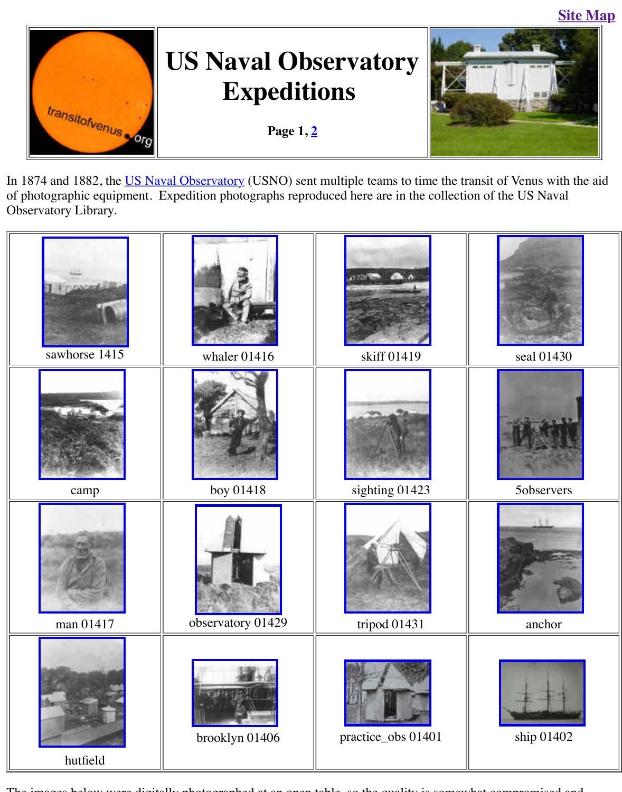

In 1[874 and 1882, the US N](http://old.transitofvenus.org/index.htm)aval Observatory (USNO) sent multiple teams to time the transit of of photographic equipment. Expedition photographs reproduced here are in the collection of t Observatory Library.



The i[mages below wer](http://old.transitofvenus.org/usno-hutfield00310.jpg)e digitally photographed at an open table, so the quality is somewhat compromised and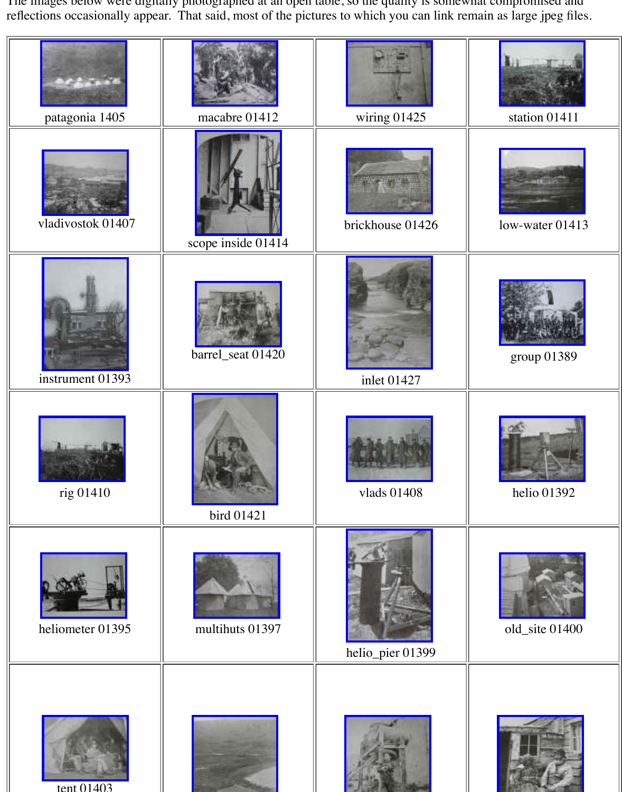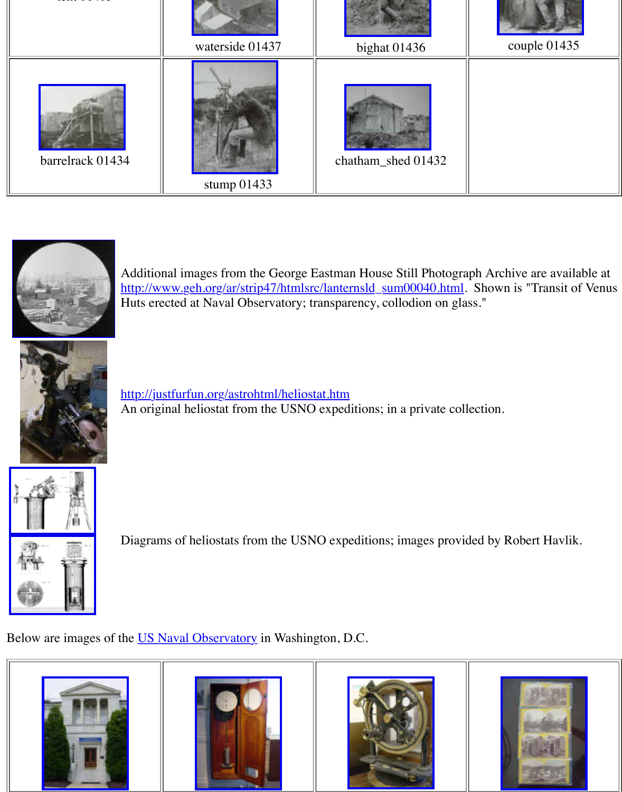









[A](http://old.transitofvenus.org/usno-barrelrack.jpg)dditional i[mages from the Ge](http://old.transitofvenus.org/usno-stump.jpg)orge Eastm[an House Still Ph](http://old.transitofvenus.org/usno-chatham_shed01432.jpg)otograph Archive are available at a http://www.geh.org/ar/strip47/htmlsrc/lanternsld\_sum00040.html. Show Huts erected at Naval Observatory; transparency, collodion on glass."



http://justfurfun.org/astrohtml/heliostat.htm An original heliostat from the USNO expeditions; in a private collection.



[Diagrams of heliostats from the USNO expe](http://justfurfun.org/astrohtml/heliostat.htm)ditions; images provided by

[Below are images](http://old.transitofvenus.org/usno-heliostat1.gif) of the US Naval Observatory in Washington, D.C.





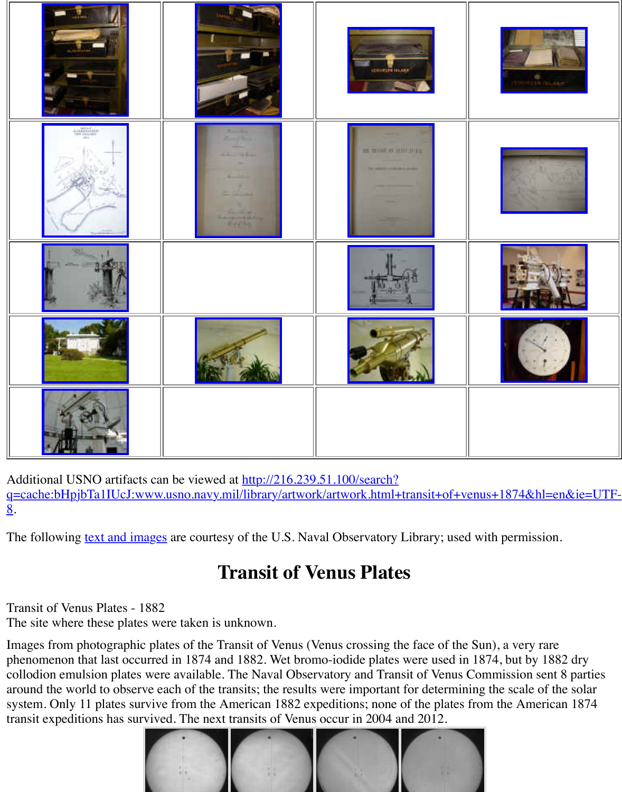

Additi[onal USNO artifa](http://old.transitofvenus.org/usno-grounds01328.jpg)cts can be v[iewed at http://21](http://old.transitofvenus.org/usno-alvinclark-profile01333.jpg)6.239.51.100/search? q=cache:bHpjbTa1IUcJ:www.usno.navy.mil/library/artwork/art[work.html+transit](http://old.transitofvenus.org/usno-alvinclark01332.jpg)+of+venus+[1874&hl=en&ie=](http://old.transitofvenus.org/usno-clockface01327.jpg)UTF-8.

The f[ollowing text and](http://old.transitofvenus.org/usno-scope01321.jpg) images are courtesy of the U.S. Naval Observatory Library; used with

## **Transit of Venus Plates**

Transit of Venus Plates - 1882

The site where these plates were taken is unknown.

Images from photographic plates of the Transit of Venus (Venus crossing the face of the Sun), phenomenon that last occurred in 1874 and 1882. Wet bromo-iodide plates were used in 1874, collodion emu[lsion plates were](http://www.usno.navy.mil/library/rare/rare.html) available. The Naval Observatory and Transit of Venus Comm around the world to observe each of the transits; the results were important for determining the system. Only 11 plates survive from the American 1882 expeditions; none of the plates from the transit expeditions has survived. The next transits of Venus occur in 2004 and 2012.